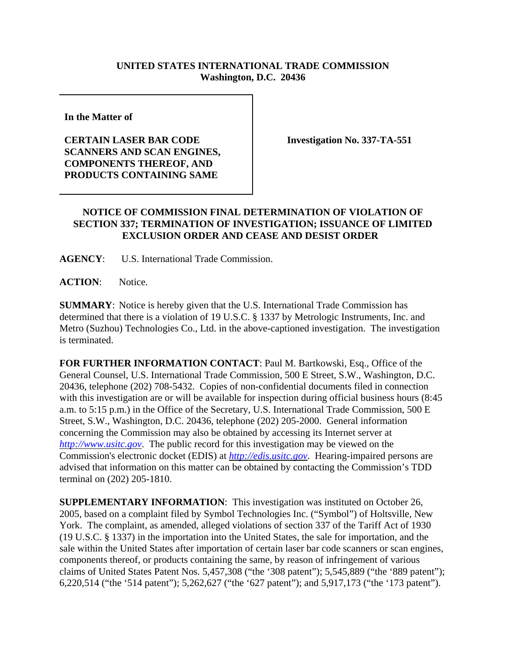## **UNITED STATES INTERNATIONAL TRADE COMMISSION Washington, D.C. 20436**

**In the Matter of** 

## **CERTAIN LASER BAR CODE SCANNERS AND SCAN ENGINES, COMPONENTS THEREOF, AND PRODUCTS CONTAINING SAME**

**Investigation No. 337-TA-551**

## **NOTICE OF COMMISSION FINAL DETERMINATION OF VIOLATION OF SECTION 337; TERMINATION OF INVESTIGATION; ISSUANCE OF LIMITED EXCLUSION ORDER AND CEASE AND DESIST ORDER**

**AGENCY**: U.S. International Trade Commission.

**ACTION**: Notice.

**SUMMARY**: Notice is hereby given that the U.S. International Trade Commission has determined that there is a violation of 19 U.S.C. § 1337 by Metrologic Instruments, Inc. and Metro (Suzhou) Technologies Co., Ltd. in the above-captioned investigation. The investigation is terminated.

**FOR FURTHER INFORMATION CONTACT**: Paul M. Bartkowski, Esq., Office of the General Counsel, U.S. International Trade Commission, 500 E Street, S.W., Washington, D.C. 20436, telephone (202) 708-5432. Copies of non-confidential documents filed in connection with this investigation are or will be available for inspection during official business hours (8:45 a.m. to 5:15 p.m.) in the Office of the Secretary, U.S. International Trade Commission, 500 E Street, S.W., Washington, D.C. 20436, telephone (202) 205-2000. General information concerning the Commission may also be obtained by accessing its Internet server at *http://www.usitc.gov*. The public record for this investigation may be viewed on the Commission's electronic docket (EDIS) at *http://edis.usitc.gov*. Hearing-impaired persons are advised that information on this matter can be obtained by contacting the Commission's TDD terminal on (202) 205-1810.

**SUPPLEMENTARY INFORMATION**: This investigation was instituted on October 26, 2005, based on a complaint filed by Symbol Technologies Inc. ("Symbol") of Holtsville, New York. The complaint, as amended, alleged violations of section 337 of the Tariff Act of 1930 (19 U.S.C. § 1337) in the importation into the United States, the sale for importation, and the sale within the United States after importation of certain laser bar code scanners or scan engines, components thereof, or products containing the same, by reason of infringement of various claims of United States Patent Nos. 5,457,308 ("the '308 patent"); 5,545,889 ("the '889 patent"); 6,220,514 ("the '514 patent"); 5,262,627 ("the '627 patent"); and 5,917,173 ("the '173 patent").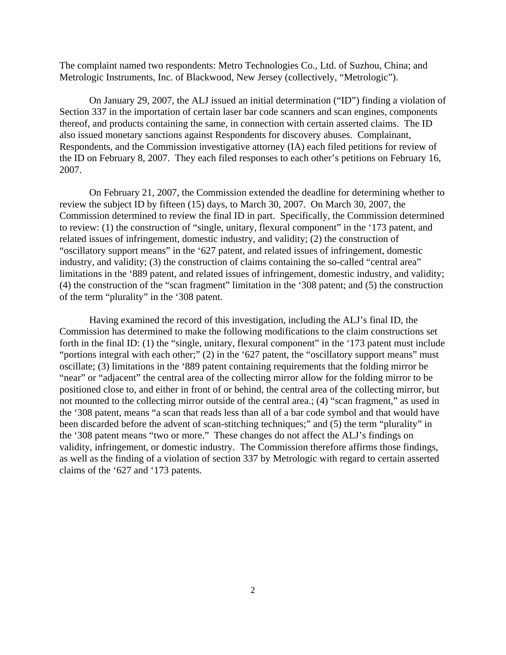The complaint named two respondents: Metro Technologies Co., Ltd. of Suzhou, China; and Metrologic Instruments, Inc. of Blackwood, New Jersey (collectively, "Metrologic").

On January 29, 2007, the ALJ issued an initial determination ("ID") finding a violation of Section 337 in the importation of certain laser bar code scanners and scan engines, components thereof, and products containing the same, in connection with certain asserted claims. The ID also issued monetary sanctions against Respondents for discovery abuses. Complainant, Respondents, and the Commission investigative attorney (IA) each filed petitions for review of the ID on February 8, 2007. They each filed responses to each other's petitions on February 16, 2007.

On February 21, 2007, the Commission extended the deadline for determining whether to review the subject ID by fifteen (15) days, to March 30, 2007. On March 30, 2007, the Commission determined to review the final ID in part. Specifically, the Commission determined to review: (1) the construction of "single, unitary, flexural component" in the '173 patent, and related issues of infringement, domestic industry, and validity; (2) the construction of "oscillatory support means" in the '627 patent, and related issues of infringement, domestic industry, and validity; (3) the construction of claims containing the so-called "central area" limitations in the '889 patent, and related issues of infringement, domestic industry, and validity; (4) the construction of the "scan fragment" limitation in the '308 patent; and (5) the construction of the term "plurality" in the '308 patent.

Having examined the record of this investigation, including the ALJ's final ID, the Commission has determined to make the following modifications to the claim constructions set forth in the final ID: (1) the "single, unitary, flexural component" in the '173 patent must include "portions integral with each other;" (2) in the '627 patent, the "oscillatory support means" must oscillate; (3) limitations in the '889 patent containing requirements that the folding mirror be "near" or "adjacent" the central area of the collecting mirror allow for the folding mirror to be positioned close to, and either in front of or behind, the central area of the collecting mirror, but not mounted to the collecting mirror outside of the central area.; (4) "scan fragment," as used in the '308 patent, means "a scan that reads less than all of a bar code symbol and that would have been discarded before the advent of scan-stitching techniques;" and (5) the term "plurality" in the '308 patent means "two or more." These changes do not affect the ALJ's findings on validity, infringement, or domestic industry. The Commission therefore affirms those findings, as well as the finding of a violation of section 337 by Metrologic with regard to certain asserted claims of the '627 and '173 patents.